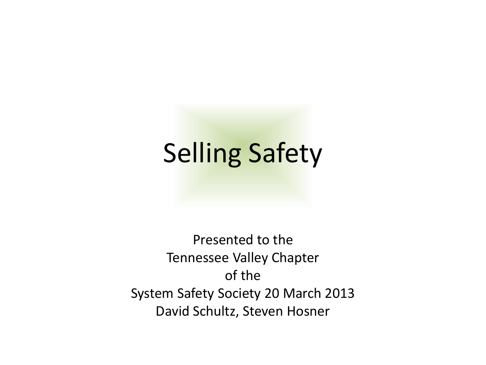#### Selling Safety

Presented to the Tennessee Valley Chapter of the System Safety Society 20 March 2013 David Schultz, Steven Hosner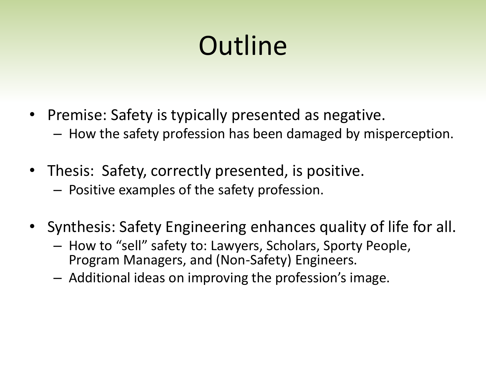## **Outline**

- Premise: Safety is typically presented as negative.
	- How the safety profession has been damaged by misperception.
- Thesis: Safety, correctly presented, is positive.
	- Positive examples of the safety profession.
- Synthesis: Safety Engineering enhances quality of life for all.
	- How to "sell" safety to: Lawyers, Scholars, Sporty People, Program Managers, and (Non-Safety) Engineers.
	- Additional ideas on improving the profession's image.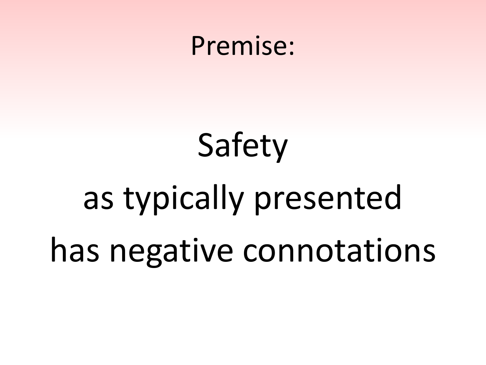#### Premise:

# Safety as typically presented has negative connotations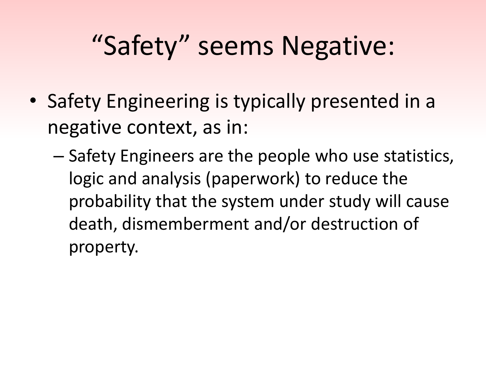## "Safety" seems Negative:

- Safety Engineering is typically presented in a negative context, as in:
	- Safety Engineers are the people who use statistics, logic and analysis (paperwork) to reduce the probability that the system under study will cause death, dismemberment and/or destruction of property.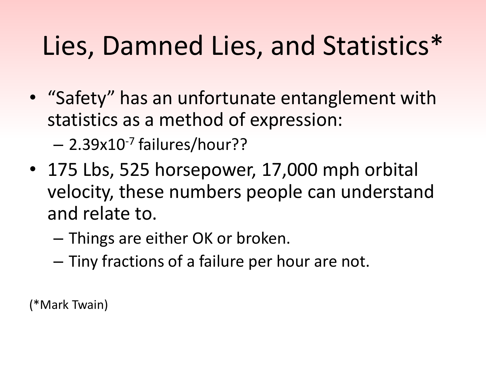## Lies, Damned Lies, and Statistics\*

• "Safety" has an unfortunate entanglement with statistics as a method of expression:

– 2.39x10-7 failures/hour??

- 175 Lbs, 525 horsepower, 17,000 mph orbital velocity, these numbers people can understand and relate to.
	- Things are either OK or broken.
	- Tiny fractions of a failure per hour are not.

(\*Mark Twain)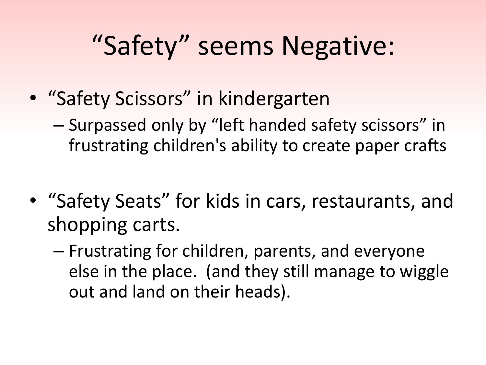## "Safety" seems Negative:

- "Safety Scissors" in kindergarten
	- Surpassed only by "left handed safety scissors" in frustrating children's ability to create paper crafts
- "Safety Seats" for kids in cars, restaurants, and shopping carts.
	- Frustrating for children, parents, and everyone else in the place. (and they still manage to wiggle out and land on their heads).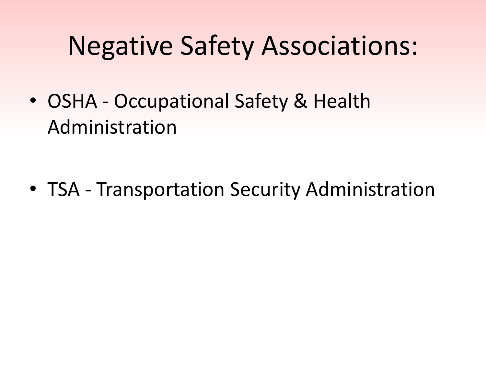#### Negative Safety Associations:

• OSHA - Occupational Safety & Health Administration

• TSA - Transportation Security Administration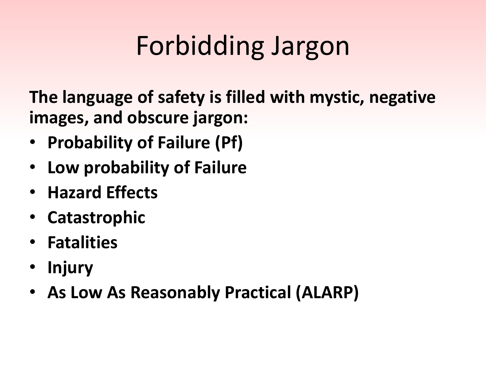## Forbidding Jargon

**The language of safety is filled with mystic, negative images, and obscure jargon:**

- **Probability of Failure (Pf)**
- **Low probability of Failure**
- **Hazard Effects**
- **Catastrophic**
- **Fatalities**
- **Injury**
- **As Low As Reasonably Practical (ALARP)**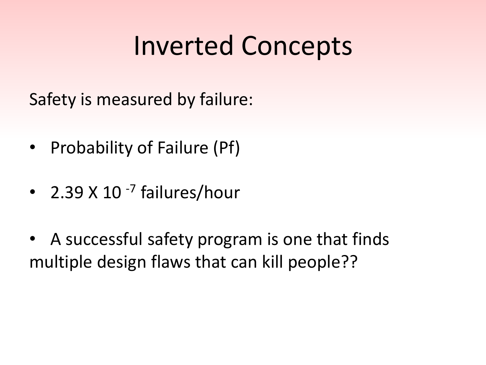#### Inverted Concepts

Safety is measured by failure:

- Probability of Failure (Pf)
- 2.39 X 10<sup>-7</sup> failures/hour
- A successful safety program is one that finds multiple design flaws that can kill people??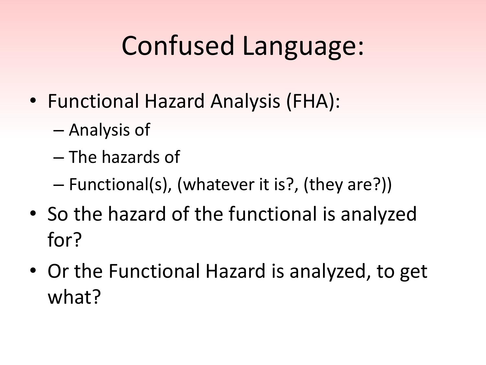## Confused Language:

- Functional Hazard Analysis (FHA):
	- Analysis of
	- The hazards of
	- Functional(s), (whatever it is?, (they are?))
- So the hazard of the functional is analyzed for?
- Or the Functional Hazard is analyzed, to get what?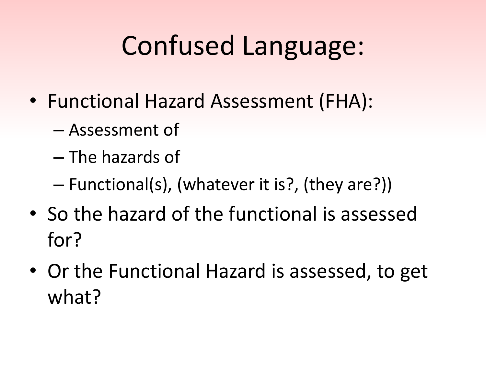## Confused Language:

- Functional Hazard Assessment (FHA):
	- Assessment of
	- The hazards of
	- Functional(s), (whatever it is?, (they are?))
- So the hazard of the functional is assessed for?
- Or the Functional Hazard is assessed, to get what?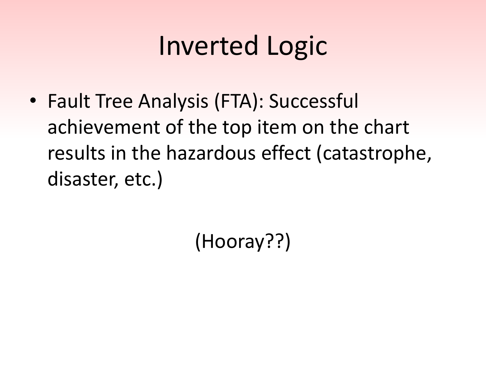## Inverted Logic

• Fault Tree Analysis (FTA): Successful achievement of the top item on the chart results in the hazardous effect (catastrophe, disaster, etc.)

(Hooray??)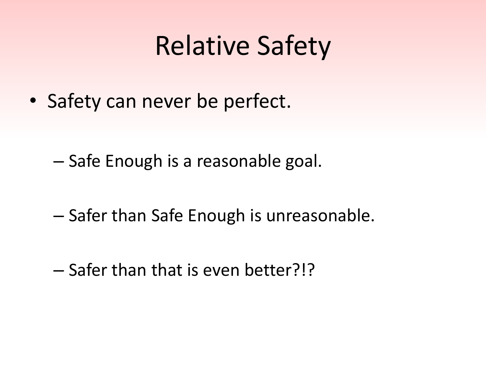#### Relative Safety

• Safety can never be perfect.

– Safe Enough is a reasonable goal.

- Safer than Safe Enough is unreasonable.
- Safer than that is even better?!?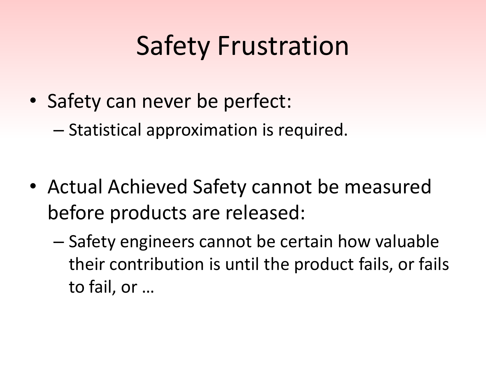## Safety Frustration

- Safety can never be perfect:
	- Statistical approximation is required.
- Actual Achieved Safety cannot be measured before products are released:
	- Safety engineers cannot be certain how valuable their contribution is until the product fails, or fails to fail, or …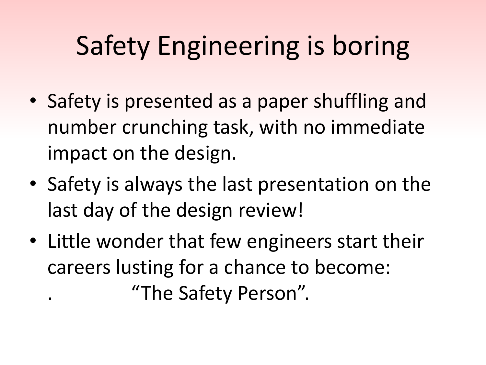## Safety Engineering is boring

- Safety is presented as a paper shuffling and number crunching task, with no immediate impact on the design.
- Safety is always the last presentation on the last day of the design review!
- Little wonder that few engineers start their careers lusting for a chance to become: . "The Safety Person".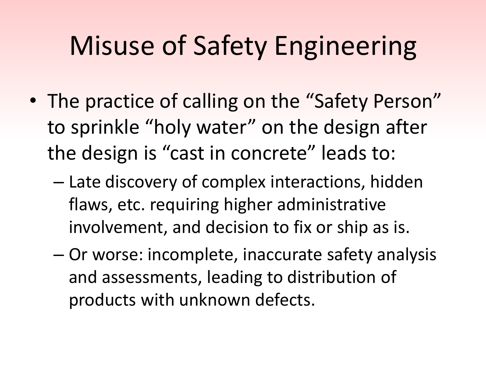## Misuse of Safety Engineering

- The practice of calling on the "Safety Person" to sprinkle "holy water" on the design after the design is "cast in concrete" leads to:
	- Late discovery of complex interactions, hidden flaws, etc. requiring higher administrative involvement, and decision to fix or ship as is.
	- Or worse: incomplete, inaccurate safety analysis and assessments, leading to distribution of products with unknown defects.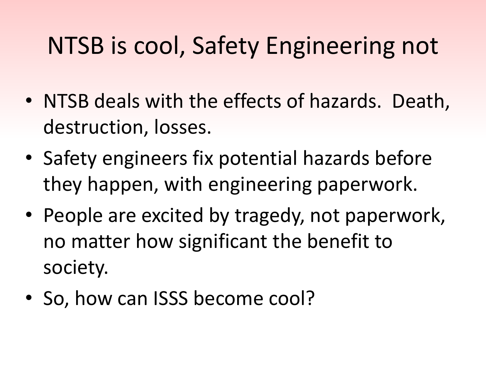#### NTSB is cool, Safety Engineering not

- NTSB deals with the effects of hazards. Death, destruction, losses.
- Safety engineers fix potential hazards before they happen, with engineering paperwork.
- People are excited by tragedy, not paperwork, no matter how significant the benefit to society.
- So, how can ISSS become cool?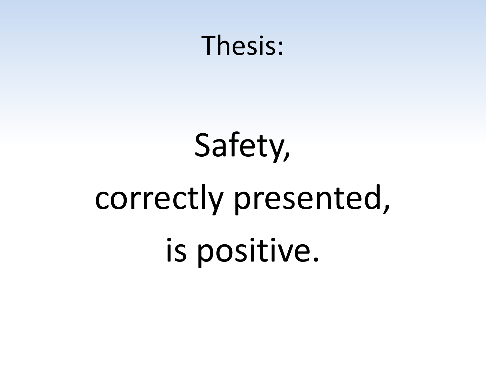#### Thesis:

# Safety, correctly presented, is positive.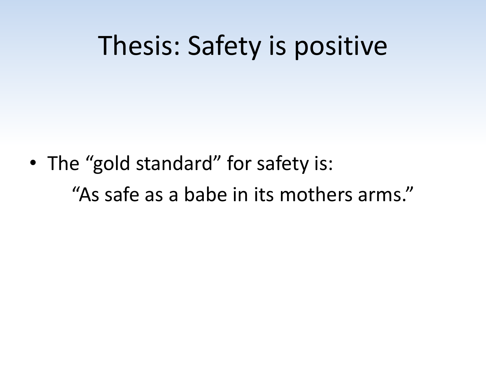#### Thesis: Safety is positive

• The "gold standard" for safety is: "As safe as a babe in its mothers arms."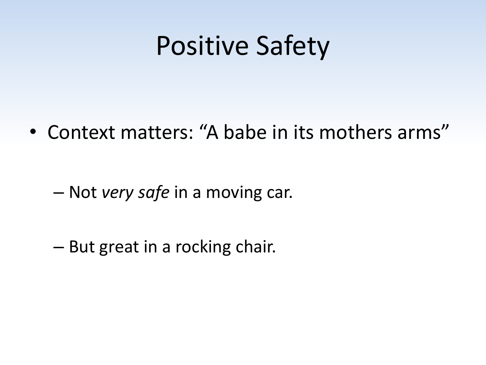#### Positive Safety

• Context matters: "A babe in its mothers arms"

– Not *very safe* in a moving car.

– But great in a rocking chair.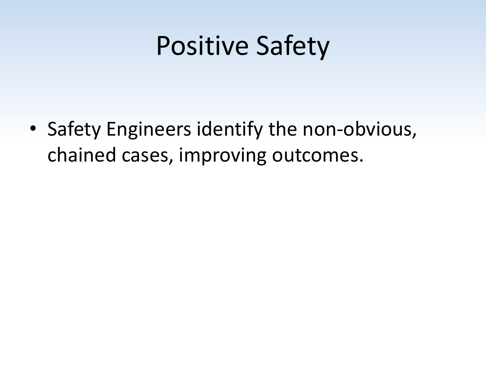#### Positive Safety

• Safety Engineers identify the non-obvious, chained cases, improving outcomes.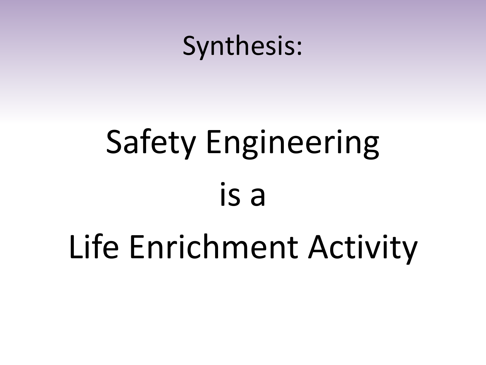

## Safety Engineering is a

## Life Enrichment Activity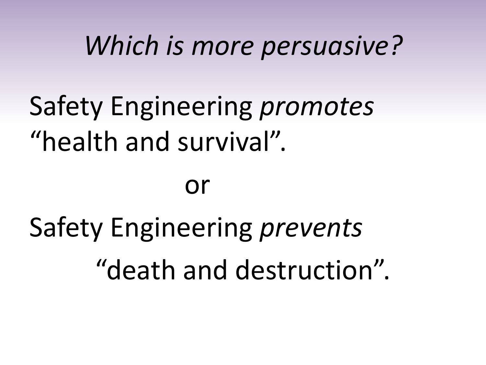#### *Which is more persuasive?*

## Safety Engineering *promotes* "health and survival".

#### or

## Safety Engineering *prevents* "death and destruction".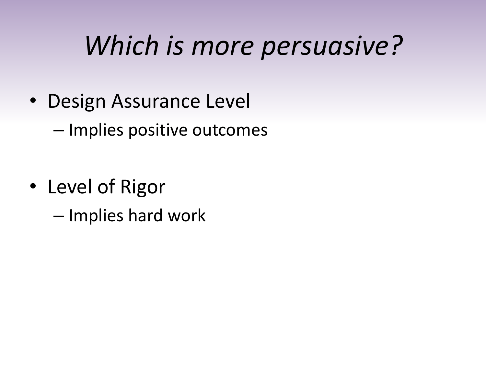#### *Which is more persuasive?*

• Design Assurance Level

– Implies positive outcomes

- Level of Rigor
	- Implies hard work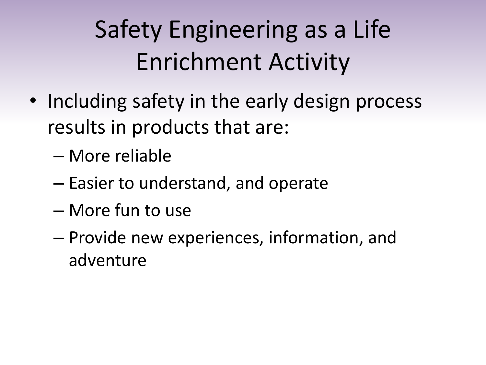#### Safety Engineering as a Life Enrichment Activity

- Including safety in the early design process results in products that are:
	- More reliable
	- Easier to understand, and operate
	- More fun to use
	- Provide new experiences, information, and adventure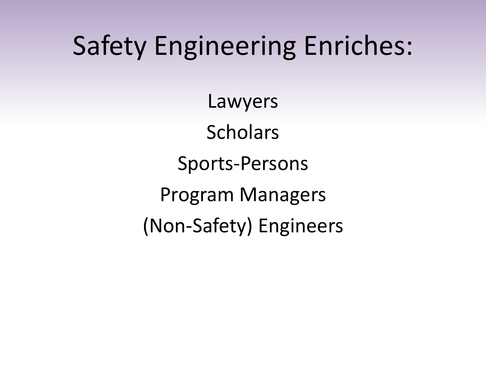#### Safety Engineering Enriches:

Lawyers **Scholars** Sports-Persons Program Managers (Non-Safety) Engineers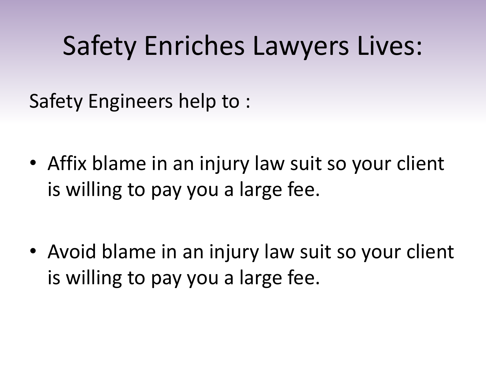#### Safety Enriches Lawyers Lives:

Safety Engineers help to :

• Affix blame in an injury law suit so your client is willing to pay you a large fee.

• Avoid blame in an injury law suit so your client is willing to pay you a large fee.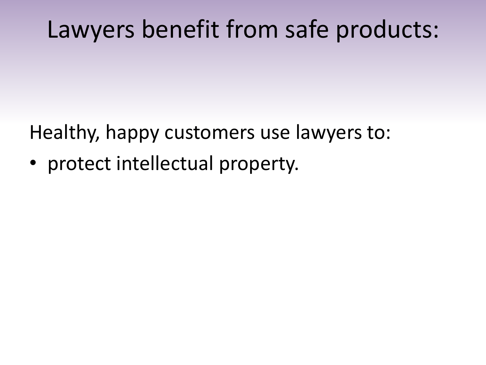#### Lawyers benefit from safe products:

Healthy, happy customers use lawyers to:

• protect intellectual property.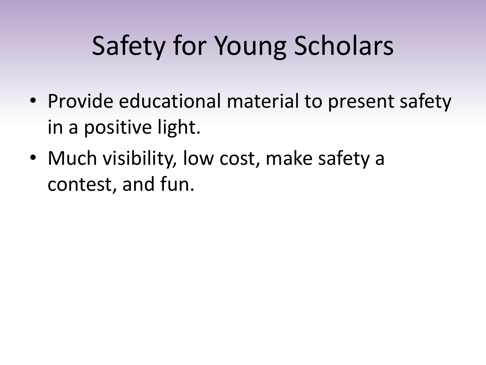- Provide educational material to present safety in a positive light.
- Much visibility, low cost, make safety a contest, and fun.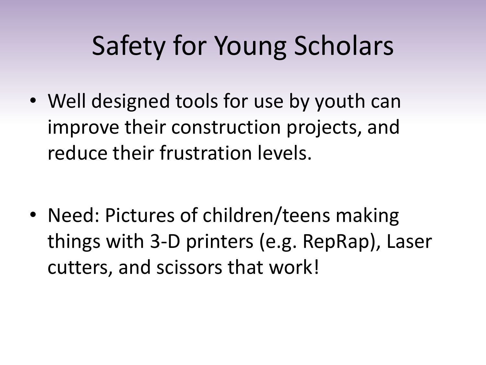• Well designed tools for use by youth can improve their construction projects, and reduce their frustration levels.

• Need: Pictures of children/teens making things with 3-D printers (e.g. RepRap), Laser cutters, and scissors that work!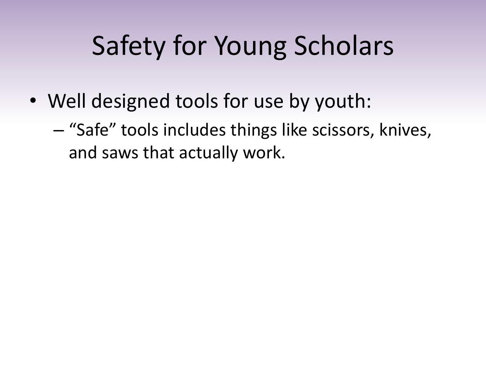- Well designed tools for use by youth:
	- "Safe" tools includes things like scissors, knives, and saws that actually work.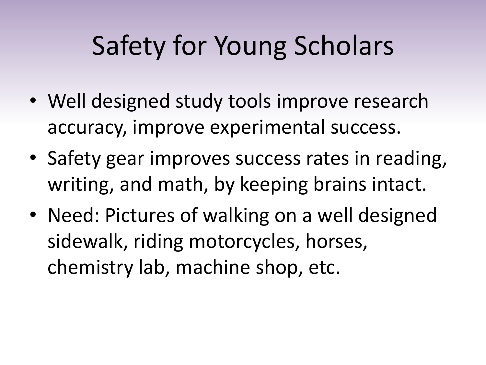- Well designed study tools improve research accuracy, improve experimental success.
- Safety gear improves success rates in reading, writing, and math, by keeping brains intact.
- Need: Pictures of walking on a well designed sidewalk, riding motorcycles, horses, chemistry lab, machine shop, etc.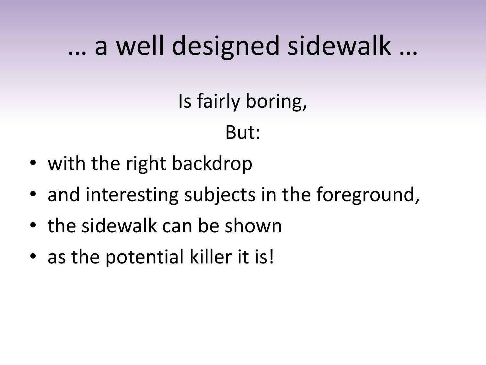#### … a well designed sidewalk …

Is fairly boring,

#### But:

- with the right backdrop
- and interesting subjects in the foreground,
- the sidewalk can be shown
- as the potential killer it is!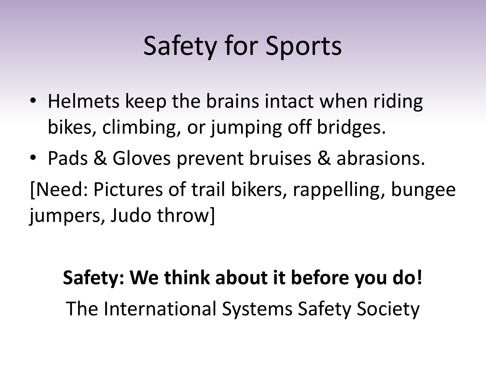## Safety for Sports

- Helmets keep the brains intact when riding bikes, climbing, or jumping off bridges.
- Pads & Gloves prevent bruises & abrasions. [Need: Pictures of trail bikers, rappelling, bungee jumpers, Judo throw]

#### **Safety: We think about it before you do!**  The International Systems Safety Society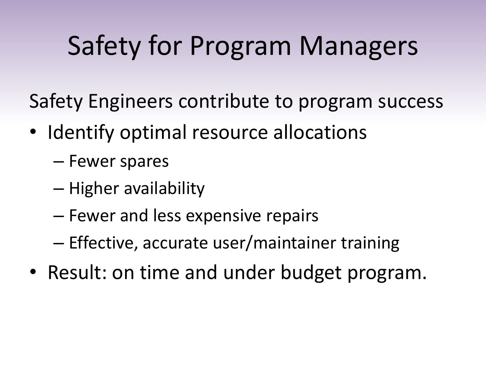## Safety for Program Managers

Safety Engineers contribute to program success

- Identify optimal resource allocations
	- Fewer spares
	- Higher availability
	- Fewer and less expensive repairs
	- Effective, accurate user/maintainer training
- Result: on time and under budget program.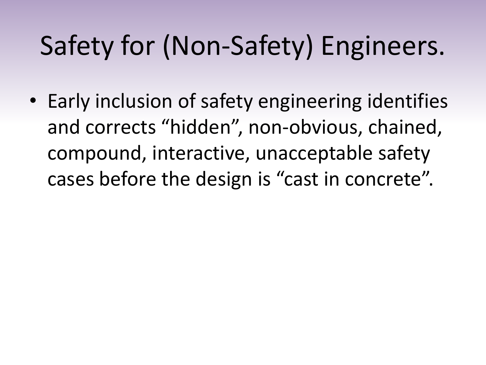## Safety for (Non-Safety) Engineers.

• Early inclusion of safety engineering identifies and corrects "hidden", non-obvious, chained, compound, interactive, unacceptable safety cases before the design is "cast in concrete".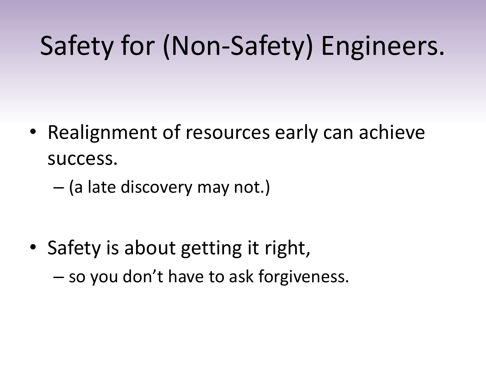## Safety for (Non-Safety) Engineers.

- Realignment of resources early can achieve success.
	- (a late discovery may not.)

• Safety is about getting it right, – so you don't have to ask forgiveness.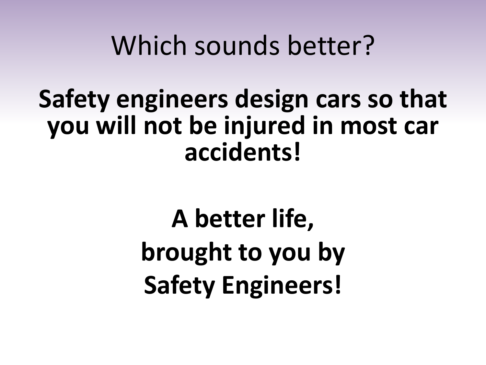#### Which sounds better?

#### **Safety engineers design cars so that you will not be injured in most car accidents!**

**A better life, brought to you by Safety Engineers!**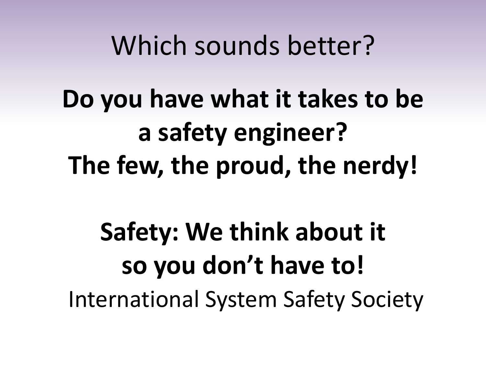#### Which sounds better?

**Do you have what it takes to be a safety engineer? The few, the proud, the nerdy!**

## **Safety: We think about it so you don't have to!**  International System Safety Society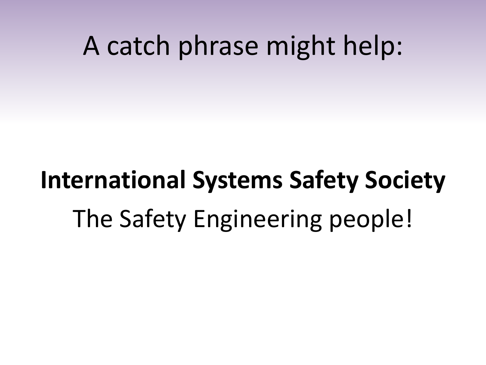#### A catch phrase might help:

## **International Systems Safety Society** The Safety Engineering people!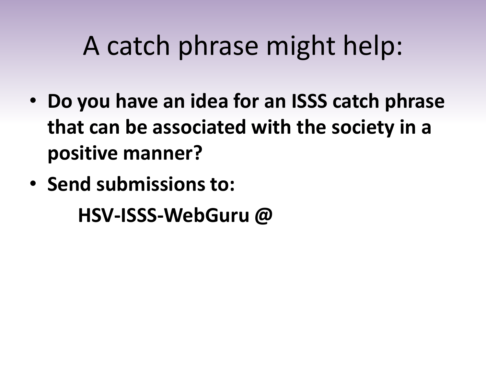#### A catch phrase might help:

- **Do you have an idea for an ISSS catch phrase that can be associated with the society in a positive manner?**
- **Send submissions to: HSV-ISSS-WebGuru @**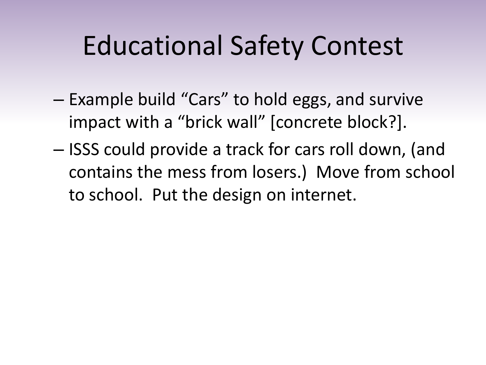#### Educational Safety Contest

- Example build "Cars" to hold eggs, and survive impact with a "brick wall" [concrete block?].
- ISSS could provide a track for cars roll down, (and contains the mess from losers.) Move from school to school. Put the design on internet.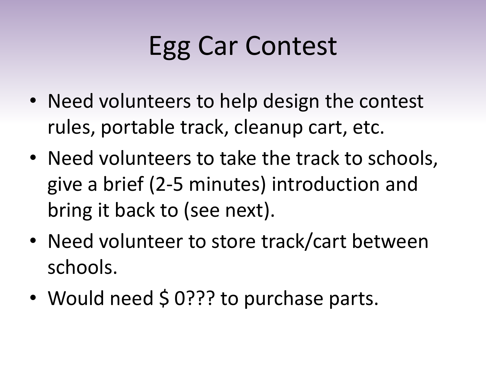## Egg Car Contest

- Need volunteers to help design the contest rules, portable track, cleanup cart, etc.
- Need volunteers to take the track to schools, give a brief (2-5 minutes) introduction and bring it back to (see next).
- Need volunteer to store track/cart between schools.
- Would need \$ 0??? to purchase parts.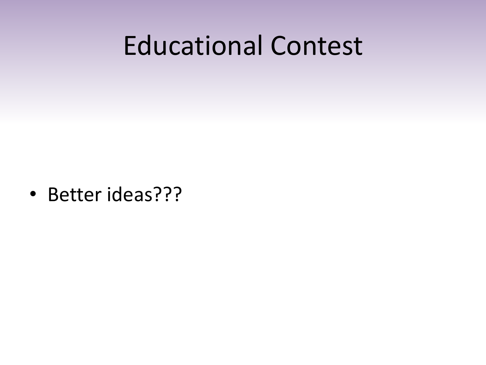#### Educational Contest

• Better ideas???